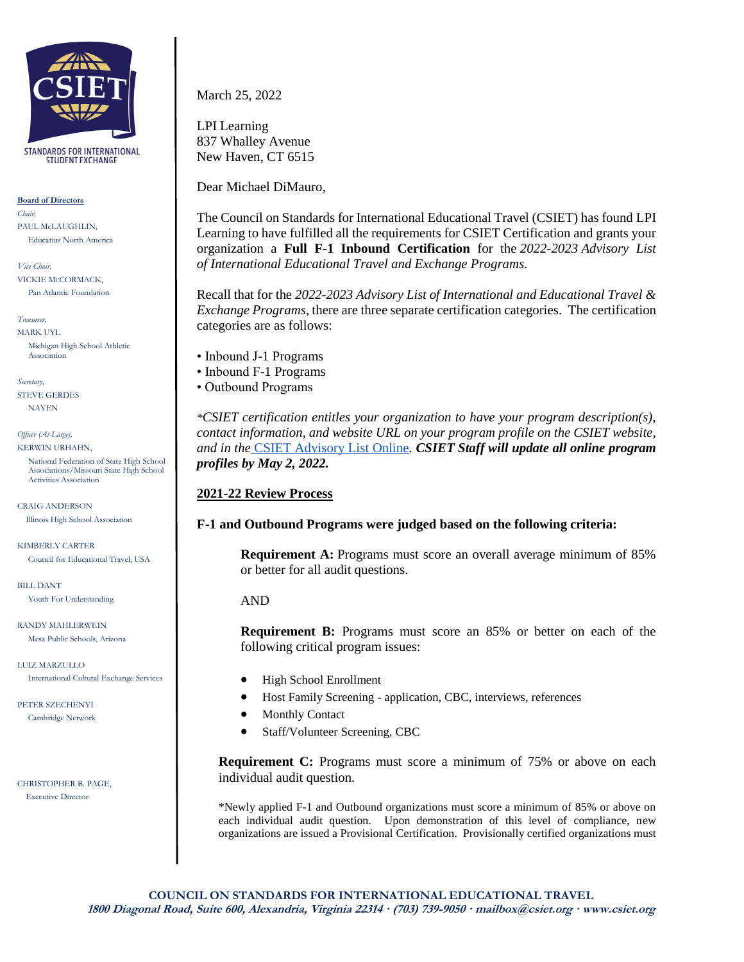

**STANDARDS FOR INTERNATIONAL STUDENT EXCHANGE** 

**Board of Directors** *Chair,* PAUL McLAUGHLIN, Educatius North America

*Vice Chair,* VICKIE McCORMACK, Pan Atlantic Foundation

*Treasurer,* MARK UYL Michigan High School Athletic Association

*Secretary,*  STEVE GERDES NAYEN

*Officer (At-Large),* KERWIN URHAHN,

> National Federation of State High School Associations/Missouri State High School Activities Association

CRAIG ANDERSON Illinois High School Association

KIMBERLY CARTER Council for Educational Travel, USA

BILL DANT Youth For Understanding

RANDY MAHLERWEIN Mesa Public Schools, Arizona

LUIZ MARZULLO International Cultural Exchange Services

PETER SZECHENYI Cambridge Network

CHRISTOPHER B. PAGE, Executive Director

March 25, 2022

LPI Learning 837 Whalley Avenue New Haven, CT 6515

Dear Michael DiMauro,

The Council on Standards for International Educational Travel (CSIET) has found LPI Learning to have fulfilled all the requirements for CSIET Certification and grants your organization a **Full F-1 Inbound Certification** for the *2022-2023 Advisory List of International Educational Travel and Exchange Programs.*

Recall that for the *2022-2023 Advisory List of International and Educational Travel & Exchange Programs*, there are three separate certification categories. The certification categories are as follows:

- Inbound J-1 Programs
- Inbound F-1 Programs
- Outbound Programs

*\*CSIET certification entitles your organization to have your program description(s), contact information, and website URL on your program profile on the CSIET website, and in the* [CSIET Advisory List Online](https://www.csiet.org/advisory-list/)*. CSIET Staff will update all online program profiles by May 2, 2022.*

## **2021-22 Review Process**

## **F-1 and Outbound Programs were judged based on the following criteria:**

**Requirement A:** Programs must score an overall average minimum of 85% or better for all audit questions.

## AND

**Requirement B:** Programs must score an 85% or better on each of the following critical program issues:

- High School Enrollment
- Host Family Screening application, CBC, interviews, references
- Monthly Contact
- Staff/Volunteer Screening, CBC

**Requirement C:** Programs must score a minimum of 75% or above on each individual audit question.

\*Newly applied F-1 and Outbound organizations must score a minimum of 85% or above on each individual audit question. Upon demonstration of this level of compliance, new organizations are issued a Provisional Certification. Provisionally certified organizations must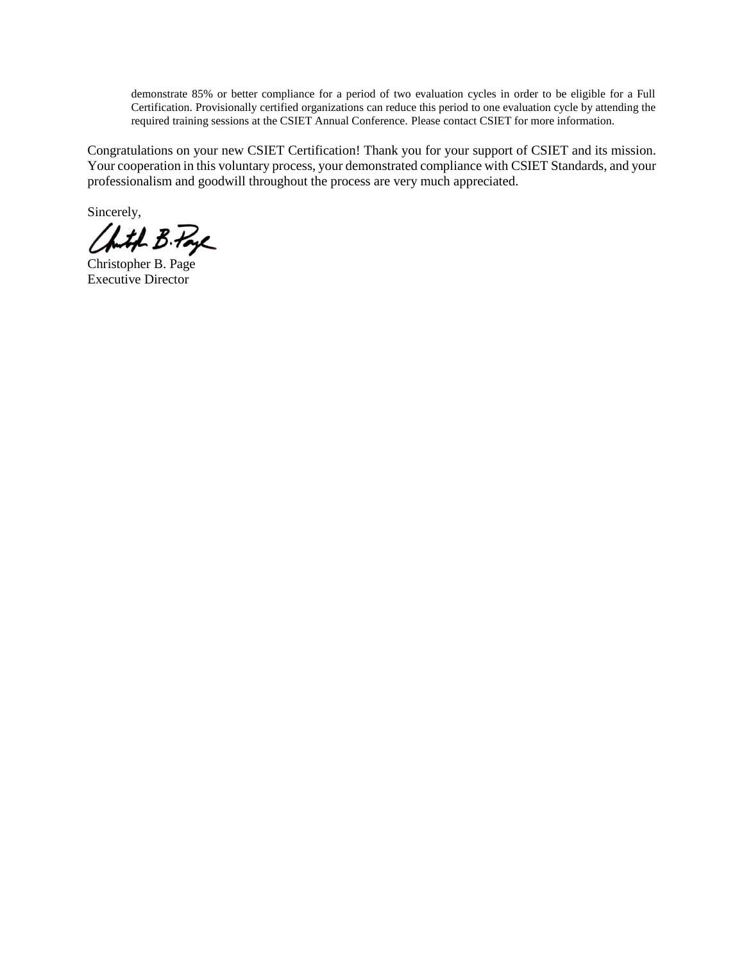demonstrate 85% or better compliance for a period of two evaluation cycles in order to be eligible for a Full Certification. Provisionally certified organizations can reduce this period to one evaluation cycle by attending the required training sessions at the CSIET Annual Conference. Please contact CSIET for more information.

Congratulations on your new CSIET Certification! Thank you for your support of CSIET and its mission. Your cooperation in this voluntary process, your demonstrated compliance with CSIET Standards, and your professionalism and goodwill throughout the process are very much appreciated.

Sincerely,

Chith B. Page

Christopher B. Page Executive Director